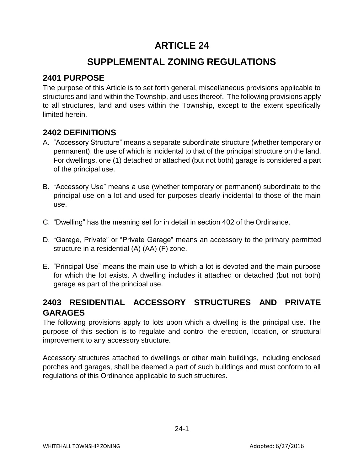# **ARTICLE 24**

# **SUPPLEMENTAL ZONING REGULATIONS**

# **2401 PURPOSE**

The purpose of this Article is to set forth general, miscellaneous provisions applicable to structures and land within the Township, and uses thereof. The following provisions apply to all structures, land and uses within the Township, except to the extent specifically limited herein.

#### **2402 DEFINITIONS**

- A. "Accessory Structure" means a separate subordinate structure (whether temporary or permanent), the use of which is incidental to that of the principal structure on the land. For dwellings, one (1) detached or attached (but not both) garage is considered a part of the principal use.
- B. "Accessory Use" means a use (whether temporary or permanent) subordinate to the principal use on a lot and used for purposes clearly incidental to those of the main use.
- C. "Dwelling" has the meaning set for in detail in section 402 of the Ordinance.
- D. "Garage, Private" or "Private Garage" means an accessory to the primary permitted structure in a residential (A) (AA) (F) zone.
- E. "Principal Use" means the main use to which a lot is devoted and the main purpose for which the lot exists. A dwelling includes it attached or detached (but not both) garage as part of the principal use.

# **2403 RESIDENTIAL ACCESSORY STRUCTURES AND PRIVATE GARAGES**

The following provisions apply to lots upon which a dwelling is the principal use. The purpose of this section is to regulate and control the erection, location, or structural improvement to any accessory structure.

Accessory structures attached to dwellings or other main buildings, including enclosed porches and garages, shall be deemed a part of such buildings and must conform to all regulations of this Ordinance applicable to such structures.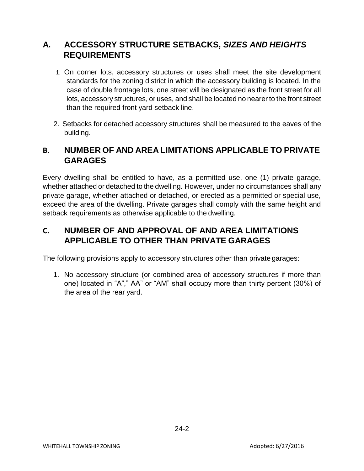#### **A. ACCESSORY STRUCTURE SETBACKS,** *SIZES AND HEIGHTS* **REQUIREMENTS**

- 1. On corner lots, accessory structures or uses shall meet the site development standards for the zoning district in which the accessory building is located. In the case of double frontage lots, one street will be designated as the front street for all lots, accessory structures, or uses, and shall be located no nearer to the front street than the required front yard setback line.
- 2. Setbacks for detached accessory structures shall be measured to the eaves of the building.

#### **B. NUMBER OF AND AREA LIMITATIONS APPLICABLE TO PRIVATE GARAGES**

Every dwelling shall be entitled to have, as a permitted use, one (1) private garage, whether attached or detached to the dwelling. However, under no circumstances shall any private garage, whether attached or detached, or erected as a permitted or special use, exceed the area of the dwelling. Private garages shall comply with the same height and setback requirements as otherwise applicable to the dwelling.

#### **C. NUMBER OF AND APPROVAL OF AND AREA LIMITATIONS APPLICABLE TO OTHER THAN PRIVATE GARAGES**

The following provisions apply to accessory structures other than private garages:

1. No accessory structure (or combined area of accessory structures if more than one) located in "A"," AA" or "AM" shall occupy more than thirty percent (30%) of the area of the rear yard.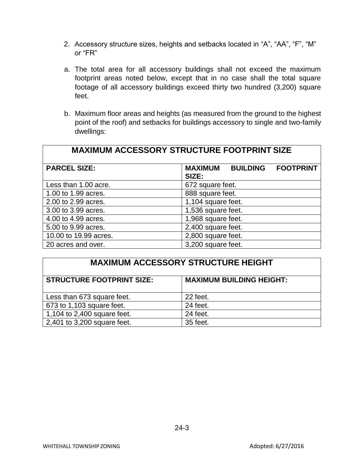- 2. Accessory structure sizes, heights and setbacks located in "A", "AA", "F", "M" or "FR"
- a. The total area for all accessory buildings shall not exceed the maximum footprint areas noted below, except that in no case shall the total square footage of all accessory buildings exceed thirty two hundred (3,200) square feet.
- b. Maximum floor areas and heights (as measured from the ground to the highest point of the roof) and setbacks for buildings accessory to single and two-family dwellings:

| <b>MAXIMUM ACCESSORY STRUCTURE FOOTPRINT SIZE</b> |                                                                |  |  |
|---------------------------------------------------|----------------------------------------------------------------|--|--|
| <b>PARCEL SIZE:</b>                               | <b>BUILDING</b><br><b>MAXIMUM</b><br><b>FOOTPRINT</b><br>SIZE: |  |  |
| Less than 1.00 acre.                              | 672 square feet.                                               |  |  |
| 1.00 to 1.99 acres.                               | 888 square feet.                                               |  |  |
| 2.00 to 2.99 acres.                               | 1,104 square feet.                                             |  |  |
| 3.00 to 3.99 acres.                               | 1,536 square feet.                                             |  |  |
| 4.00 to 4.99 acres.                               | 1,968 square feet.                                             |  |  |
| 5.00 to 9.99 acres.                               | 2,400 square feet.                                             |  |  |
| 10.00 to 19.99 acres.                             | 2,800 square feet.                                             |  |  |
| 20 acres and over.                                | 3,200 square feet.                                             |  |  |

| <b>MAXIMUM ACCESSORY STRUCTURE HEIGHT</b> |                                 |  |  |
|-------------------------------------------|---------------------------------|--|--|
| <b>STRUCTURE FOOTPRINT SIZE:</b>          | <b>MAXIMUM BUILDING HEIGHT:</b> |  |  |
| Less than 673 square feet.                | 22 feet.                        |  |  |
| 673 to 1,103 square feet.                 | 24 feet.                        |  |  |
| 1,104 to 2,400 square feet.               | 24 feet.                        |  |  |
| 2,401 to 3,200 square feet.               | 35 feet.                        |  |  |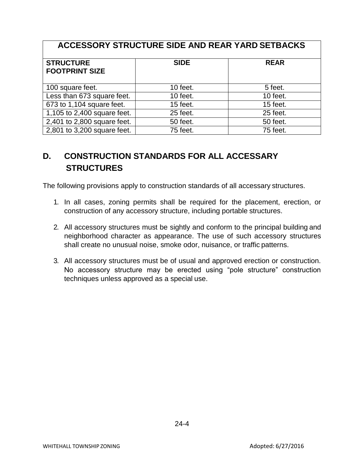| ACCESSORY STRUCTURE SIDE AND REAR YARD SETBACKS |             |             |  |
|-------------------------------------------------|-------------|-------------|--|
| <b>STRUCTURE</b><br><b>FOOTPRINT SIZE</b>       | <b>SIDE</b> | <b>REAR</b> |  |
| 100 square feet.                                | 10 feet.    | 5 feet.     |  |
| Less than 673 square feet.                      | 10 feet.    | $10$ feet.  |  |
| 673 to 1,104 square feet.                       | $15$ feet.  | 15 feet.    |  |
| 1,105 to 2,400 square feet.                     | 25 feet.    | 25 feet.    |  |
| 2,401 to 2,800 square feet.                     | 50 feet.    | 50 feet.    |  |
| 2,801 to 3,200 square feet.                     | 75 feet.    | 75 feet.    |  |

# **D. CONSTRUCTION STANDARDS FOR ALL ACCESSARY STRUCTURES**

The following provisions apply to construction standards of all accessary structures.

- 1. In all cases, zoning permits shall be required for the placement, erection, or construction of any accessory structure, including portable structures.
- 2. All accessory structures must be sightly and conform to the principal building and neighborhood character as appearance. The use of such accessory structures shall create no unusual noise, smoke odor, nuisance, or traffic patterns.
- 3. All accessory structures must be of usual and approved erection or construction. No accessory structure may be erected using "pole structure" construction techniques unless approved as a special use.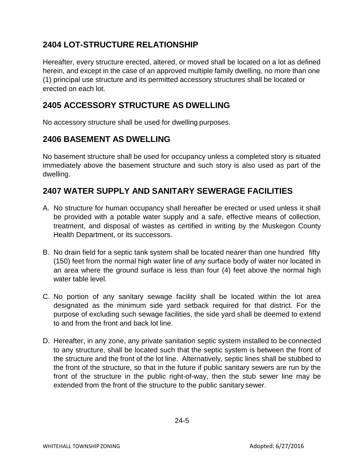# **2404 LOT-STRUCTURE RELATIONSHIP**

Hereafter, every structure erected, altered, or moved shall be located on a lot as defined herein, and except in the case of an approved multiple family dwelling, no more than one (1) principal use structure and its permitted accessory structures shall be located or erected on each lot.

### **2405 ACCESSORY STRUCTURE AS DWELLING**

No accessory structure shall be used for dwelling purposes.

#### **2406 BASEMENT AS DWELLING**

No basement structure shall be used for occupancy unless a completed story is situated immediately above the basement structure and such story is also used as part of the dwelling.

#### **2407 WATER SUPPLY AND SANITARY SEWERAGE FACILITIES**

- A. No structure for human occupancy shall hereafter be erected or used unless it shall be provided with a potable water supply and a safe, effective means of collection, treatment, and disposal of wastes as certified in writing by the Muskegon County Health Department, or its successors.
- B. No drain field for a septic tank system shall be located nearer than one hundred fifty (150) feet from the normal high water line of any surface body of water nor located in an area where the ground surface is less than four (4) feet above the normal high water table level.
- C. No portion of any sanitary sewage facility shall be located within the lot area designated as the minimum side yard setback required for that district. For the purpose of excluding such sewage facilities, the side yard shall be deemed to extend to and from the front and back lot line.
- D. Hereafter, in any zone, any private sanitation septic system installed to be connected to any structure, shall be located such that the septic system is between the front of the structure and the front of the lot line. Alternatively, septic lines shall be stubbed to the front of the structure, so that in the future if public sanitary sewers are run by the front of the structure in the public right-of-way, then the stub sewer line may be extended from the front of the structure to the public sanitary sewer.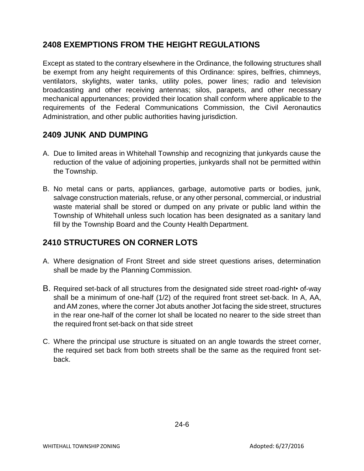# **2408 EXEMPTIONS FROM THE HEIGHT REGULATIONS**

Except as stated to the contrary elsewhere in the Ordinance, the following structures shall be exempt from any height requirements of this Ordinance: spires, belfries, chimneys, ventilators, skylights, water tanks, utility poles, power lines; radio and television broadcasting and other receiving antennas; silos, parapets, and other necessary mechanical appurtenances; provided their location shall conform where applicable to the requirements of the Federal Communications Commission, the Civil Aeronautics Administration, and other public authorities having jurisdiction.

# **2409 JUNK AND DUMPING**

- A. Due to limited areas in Whitehall Township and recognizing that junkyards cause the reduction of the value of adjoining properties, junkyards shall not be permitted within the Township.
- B. No metal cans or parts, appliances, garbage, automotive parts or bodies, junk, salvage construction materials, refuse, or any other personal, commercial, or industrial waste material shall be stored or dumped on any private or public land within the Township of Whitehall unless such location has been designated as a sanitary land fill by the Township Board and the County Health Department.

#### **2410 STRUCTURES ON CORNER LOTS**

- A. Where designation of Front Street and side street questions arises, determination shall be made by the Planning Commission.
- B. Required set-back of all structures from the designated side street road-right• of-way shall be a minimum of one-half (1/2) of the required front street set-back. In A, AA, and AM zones, where the corner Jot abuts another Jot facing the side street, structures in the rear one-half of the corner lot shall be located no nearer to the side street than the required front set-back on that side street
- C. Where the principal use structure is situated on an angle towards the street corner, the required set back from both streets shall be the same as the required front setback.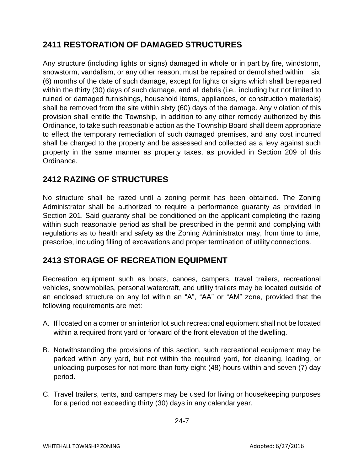# **2411 RESTORATION OF DAMAGED STRUCTURES**

Any structure (including lights or signs) damaged in whole or in part by fire, windstorm, snowstorm, vandalism, or any other reason, must be repaired or demolished within six (6) months of the date of such damage, except for lights or signs which shall be repaired within the thirty (30) days of such damage, and all debris (i.e., including but not limited to ruined or damaged furnishings, household items, appliances, or construction materials) shall be removed from the site within sixty (60) days of the damage. Any violation of this provision shall entitle the Township, in addition to any other remedy authorized by this Ordinance, to take such reasonable action as the Township Board shall deem appropriate to effect the temporary remediation of such damaged premises, and any cost incurred shall be charged to the property and be assessed and collected as a levy against such property in the same manner as property taxes, as provided in Section 209 of this Ordinance.

# **2412 RAZING OF STRUCTURES**

No structure shall be razed until a zoning permit has been obtained. The Zoning Administrator shall be authorized to require a performance guaranty as provided in Section 201. Said guaranty shall be conditioned on the applicant completing the razing within such reasonable period as shall be prescribed in the permit and complying with regulations as to health and safety as the Zoning Administrator may, from time to time, prescribe, including filling of excavations and proper termination of utility connections.

#### **2413 STORAGE OF RECREATION EQUIPMENT**

Recreation equipment such as boats, canoes, campers, travel trailers, recreational vehicles, snowmobiles, personal watercraft, and utility trailers may be located outside of an enclosed structure on any lot within an "A", "AA" or "AM" zone, provided that the following requirements are met:

- A. If located on a corner or an interior lot such recreational equipment shall not be located within a required front yard or forward of the front elevation of the dwelling.
- B. Notwithstanding the provisions of this section, such recreational equipment may be parked within any yard, but not within the required yard, for cleaning, loading, or unloading purposes for not more than forty eight (48) hours within and seven (7) day period.
- C. Travel trailers, tents, and campers may be used for living or housekeeping purposes for a period not exceeding thirty (30) days in any calendar year.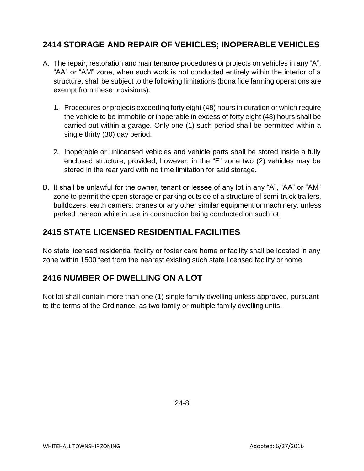### **2414 STORAGE AND REPAIR OF VEHICLES; INOPERABLE VEHICLES**

- A. The repair, restoration and maintenance procedures or projects on vehicles in any "A", "AA" or "AM" zone, when such work is not conducted entirely within the interior of a structure, shall be subject to the following limitations (bona fide farming operations are exempt from these provisions):
	- 1. Procedures or projects exceeding forty eight (48) hours in duration or which require the vehicle to be immobile or inoperable in excess of forty eight (48) hours shall be carried out within a garage. Only one (1) such period shall be permitted within a single thirty (30) day period.
	- 2. Inoperable or unlicensed vehicles and vehicle parts shall be stored inside a fully enclosed structure, provided, however, in the "F" zone two (2) vehicles may be stored in the rear yard with no time limitation for said storage.
- B. It shall be unlawful for the owner, tenant or lessee of any lot in any "A", "AA" or "AM" zone to permit the open storage or parking outside of a structure of semi-truck trailers, bulldozers, earth carriers, cranes or any other similar equipment or machinery, unless parked thereon while in use in construction being conducted on such lot.

#### **2415 STATE LICENSED RESIDENTIAL FACILITIES**

No state licensed residential facility or foster care home or facility shall be located in any zone within 1500 feet from the nearest existing such state licensed facility or home.

#### **2416 NUMBER OF DWELLING ON A LOT**

Not lot shall contain more than one (1) single family dwelling unless approved, pursuant to the terms of the Ordinance, as two family or multiple family dwelling units.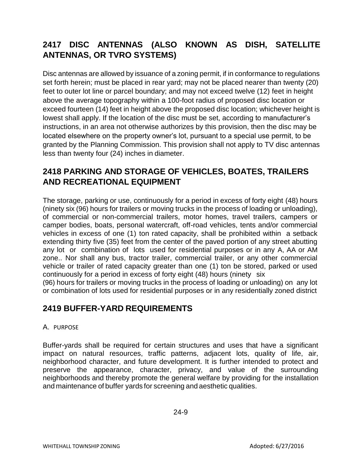# **2417 DISC ANTENNAS (ALSO KNOWN AS DISH, SATELLITE ANTENNAS, OR TVRO SYSTEMS)**

Disc antennas are allowed by issuance of a zoning permit, if in conformance to regulations set forth herein; must be placed in rear yard; may not be placed nearer than twenty (20) feet to outer lot line or parcel boundary; and may not exceed twelve (12) feet in height above the average topography within a 100-foot radius of proposed disc location or exceed fourteen (14) feet in height above the proposed disc location; whichever height is lowest shall apply. If the location of the disc must be set, according to manufacturer's instructions, in an area not otherwise authorizes by this provision, then the disc may be located elsewhere on the property owner's lot, pursuant to a special use permit, to be granted by the Planning Commission. This provision shall not apply to TV disc antennas less than twenty four (24) inches in diameter.

#### **2418 PARKING AND STORAGE OF VEHICLES, BOATES, TRAILERS AND RECREATIONAL EQUIPMENT**

The storage, parking or use, continuously for a period in excess of forty eight (48) hours (ninety six (96) hours for trailers or moving trucks in the process of loading or unloading), of commercial or non-commercial trailers, motor homes, travel trailers, campers or camper bodies, boats, personal watercraft, off-road vehicles, tents and/or commercial vehicles in excess of one (1) ton rated capacity, shall be prohibited within a setback extending thirty five (35) feet from the center of the paved portion of any street abutting any lot or combination of lots used for residential purposes or in any A, AA or AM zone.. Nor shall any bus, tractor trailer, commercial trailer, or any other commercial vehicle or trailer of rated capacity greater than one (1) ton be stored, parked or used continuously for a period in excess of forty eight (48) hours (ninety six

(96) hours for trailers or moving trucks in the process of loading or unloading) on any lot or combination of lots used for residential purposes or in any residentially zoned district

#### **2419 BUFFER-YARD REQUIREMENTS**

#### A. PURPOSE

Buffer-yards shall be required for certain structures and uses that have a significant impact on natural resources, traffic patterns, adjacent lots, quality of life, air, neighborhood character, and future development. It is further intended to protect and preserve the appearance, character, privacy, and value of the surrounding neighborhoods and thereby promote the general welfare by providing for the installation and maintenance of buffer yards for screening and aesthetic qualities.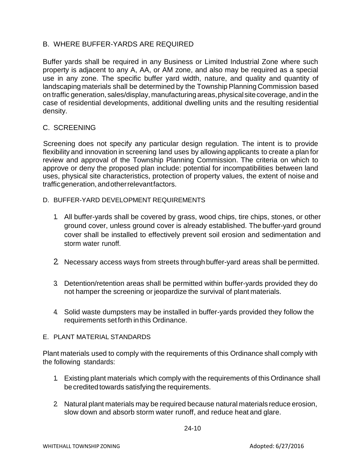#### B. WHERE BUFFER-YARDS ARE REQUIRED

Buffer yards shall be required in any Business or Limited Industrial Zone where such property is adjacent to any A, AA, or AM zone, and also may be required as a special use in any zone. The specific buffer yard width, nature, and quality and quantity of landscaping materials shall be determined by the Township Planning Commission based on traffic generation, sales/display, manufacturingareas,physical sitecoverage, andin the case of residential developments, additional dwelling units and the resulting residential density.

#### C. SCREENING

Screening does not specify any particular design regulation. The intent is to provide flexibility and innovation in screening land uses by allowing applicants to create a plan for review and approval of the Township Planning Commission. The criteria on which to approve or deny the proposed plan include: potential for incompatibilities between land uses, physical site characteristics, protection of property values, the extent of noise and trafficgeneration,andotherrelevantfactors.

- D. BUFFER-YARD DEVELOPMENT REQUIREMENTS
	- 1. All buffer-yards shall be covered by grass, wood chips, tire chips, stones, or other ground cover, unless ground cover is already established. The buffer-yard ground cover shall be installed to effectively prevent soil erosion and sedimentation and storm water runoff.
	- 2. Necessary access ways from streets through buffer-yard areas shall be permitted.
	- 3. Detention/retention areas shall be permitted within buffer-yards provided they do not hamper the screening or jeopardize the survival of plant materials.
	- 4. Solid waste dumpsters may be installed in buffer-yards provided they follow the requirements setforth inthis Ordinance.

#### E. PLANT MATERIAL STANDARDS

Plant materials used to comply with the requirements of this Ordinance shall comply with the following standards:

- 1. Existing plant materials which comply with the requirements of this Ordinance shall be credited towards satisfying the requirements.
- 2. Natural plant materials may be required because natural materials reduce erosion, slow down and absorb storm water runoff, and reduce heat and glare.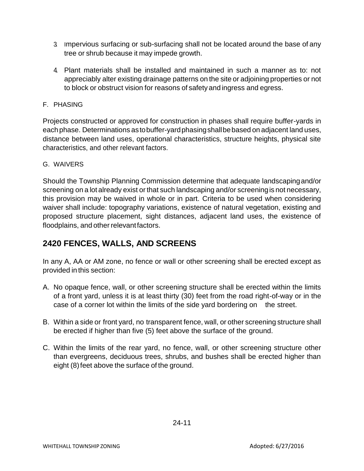- 3. Impervious surfacing or sub-surfacing shall not be located around the base of any tree or shrub because it may impede growth.
- 4. Plant materials shall be installed and maintained in such a manner as to: not appreciably alter existing drainage patterns on the site or adjoining properties or not to block or obstruct vision for reasons of safety and ingress and egress.
- F. PHASING

Projects constructed or approved for construction in phases shall require buffer-yards in eachphase. Determinations astobuffer-yardphasingshallbebased on adjacent land uses, distance between land uses, operational characteristics, structure heights, physical site characteristics, and other relevant factors.

#### G. WAIVERS

Should the Township Planning Commission determine that adequate landscapingand/or screening on a lot already exist or that such landscaping and/or screening is not necessary, this provision may be waived in whole or in part. Criteria to be used when considering waiver shall include: topography variations, existence of natural vegetation, existing and proposed structure placement, sight distances, adjacent land uses, the existence of floodplains, and other relevant factors.

#### **2420 FENCES, WALLS, AND SCREENS**

In any A, AA or AM zone, no fence or wall or other screening shall be erected except as provided in this section:

- A. No opaque fence, wall, or other screening structure shall be erected within the limits of a front yard, unless it is at least thirty (30) feet from the road right-of-way or in the case of a corner lot within the limits of the side yard bordering on the street.
- B. Within a side or front yard, no transparent fence, wall, or other screening structure shall be erected if higher than five (5) feet above the surface of the ground.
- C. Within the limits of the rear yard, no fence, wall, or other screening structure other than evergreens, deciduous trees, shrubs, and bushes shall be erected higher than eight (8) feet above the surface of the ground.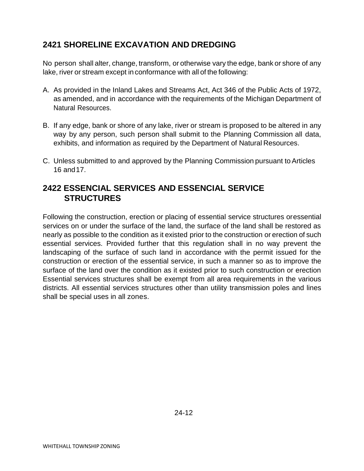# **2421 SHORELINE EXCAVATION AND DREDGING**

No person shall alter, change, transform, or otherwise vary the edge, bank or shore of any lake, river or stream except in conformance with all of the following:

- A. As provided in the Inland Lakes and Streams Act, Act 346 of the Public Acts of 1972, as amended, and in accordance with the requirements of the Michigan Department of Natural Resources.
- B. If any edge, bank or shore of any lake, river or stream is proposed to be altered in any way by any person, such person shall submit to the Planning Commission all data, exhibits, and information as required by the Department of Natural Resources.
- C. Unless submitted to and approved by the Planning Commission pursuant to Articles 16 and17.

#### **2422 ESSENCIAL SERVICES AND ESSENCIAL SERVICE STRUCTURES**

Following the construction, erection or placing of essential service structures oressential services on or under the surface of the land, the surface of the land shall be restored as nearly as possible to the condition as it existed prior to the construction or erection of such essential services. Provided further that this regulation shall in no way prevent the landscaping of the surface of such land in accordance with the permit issued for the construction or erection of the essential service, in such a manner so as to improve the surface of the land over the condition as it existed prior to such construction or erection Essential services structures shall be exempt from all area requirements in the various districts. All essential services structures other than utility transmission poles and lines shall be special uses in all zones.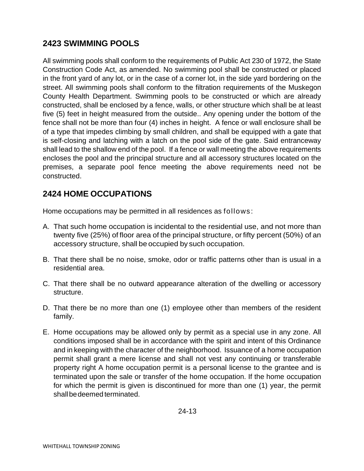# **2423 SWIMMING POOLS**

All swimming pools shall conform to the requirements of Public Act 230 of 1972, the State Construction Code Act, as amended. No swimming pool shall be constructed or placed in the front yard of any lot, or in the case of a corner lot, in the side yard bordering on the street. All swimming pools shall conform to the filtration requirements of the Muskegon County Health Department. Swimming pools to be constructed or which are already constructed, shall be enclosed by a fence, walls, or other structure which shall be at least five (5) feet in height measured from the outside.. Any opening under the bottom of the fence shall not be more than four (4) inches in height. A fence or wall enclosure shall be of a type that impedes climbing by small children, and shall be equipped with a gate that is self-closing and latching with a latch on the pool side of the gate. Said entranceway shall lead to the shallow end of the pool. If a fence or wall meeting the above requirements encloses the pool and the principal structure and all accessory structures located on the premises, a separate pool fence meeting the above requirements need not be constructed.

#### **2424 HOME OCCUPATIONS**

Home occupations may be permitted in all residences as follows:

- A. That such home occupation is incidental to the residential use, and not more than twenty five (25%) of floor area of the principal structure, or fifty percent (50%) of an accessory structure, shall be occupied by such occupation.
- B. That there shall be no noise, smoke, odor or traffic patterns other than is usual in a residential area.
- C. That there shall be no outward appearance alteration of the dwelling or accessory structure.
- D. That there be no more than one (1) employee other than members of the resident family.
- E. Home occupations may be allowed only by permit as a special use in any zone. All conditions imposed shall be in accordance with the spirit and intent of this Ordinance and in keeping with the character of the neighborhood. Issuance of a home occupation permit shall grant a mere license and shall not vest any continuing or transferable property right A home occupation permit is a personal license to the grantee and is terminated upon the sale or transfer of the home occupation. If the home occupation for which the permit is given is discontinued for more than one (1) year, the permit shallbedeemed terminated.

24-13